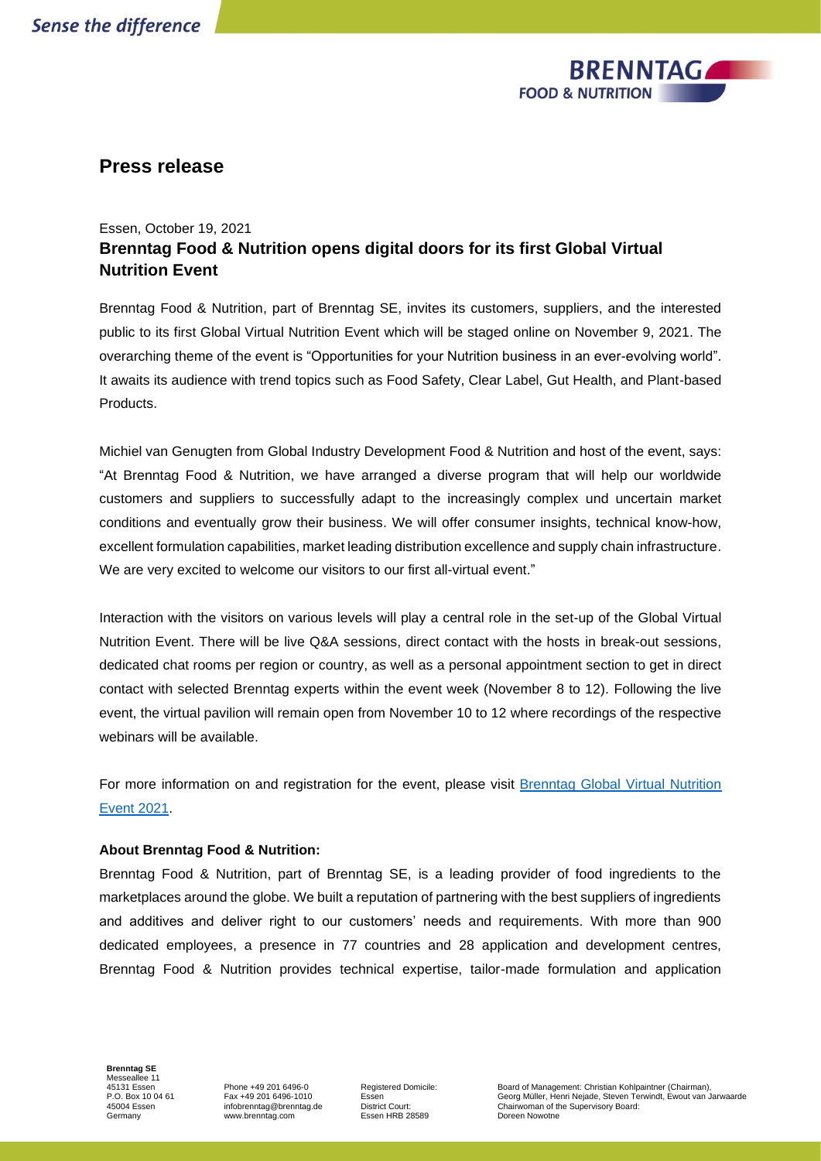

## **Press release**

## Essen, October 19, 2021 **Brenntag Food & Nutrition opens digital doors for its first Global Virtual Nutrition Event**

Brenntag Food & Nutrition, part of Brenntag SE, invites its customers, suppliers, and the interested public to its first Global Virtual Nutrition Event which will be staged online on November 9, 2021. The overarching theme of the event is "Opportunities for your Nutrition business in an ever-evolving world". It awaits its audience with trend topics such as Food Safety, Clear Label, Gut Health, and Plant-based Products.

Michiel van Genugten from Global Industry Development Food & Nutrition and host of the event, says: "At Brenntag Food & Nutrition, we have arranged a diverse program that will help our worldwide customers and suppliers to successfully adapt to the increasingly complex und uncertain market conditions and eventually grow their business. We will offer consumer insights, technical know-how, excellent formulation capabilities, market leading distribution excellence and supply chain infrastructure. We are very excited to welcome our visitors to our first all-virtual event."

Interaction with the visitors on various levels will play a central role in the set-up of the Global Virtual Nutrition Event. There will be live Q&A sessions, direct contact with the hosts in break-out sessions, dedicated chat rooms per region or country, as well as a personal appointment section to get in direct contact with selected Brenntag experts within the event week (November 8 to 12). Following the live event, the virtual pavilion will remain open from November 10 to 12 where recordings of the respective webinars will be available.

For more information on and registration for the event, please visit [Brenntag Global Virtual Nutrition](https://event.brenntag.com/nutritionevent2021/)  [Event 2021.](https://event.brenntag.com/nutritionevent2021/)

## **About Brenntag Food & Nutrition:**

Brenntag Food & Nutrition, part of Brenntag SE, is a leading provider of food ingredients to the marketplaces around the globe. We built a reputation of partnering with the best suppliers of ingredients and additives and deliver right to our customers' needs and requirements. With more than 900 dedicated employees, a presence in 77 countries and 28 application and development centres, Brenntag Food & Nutrition provides technical expertise, tailor-made formulation and application

**Brenntag SE** Messeallee 11 45131 Essen P.O. Box 10 04 61 45004 Essen Germany

Phone +49 201 6496-0 Fax +49 201 6496-1010 infobrenntag@brenntag.de www.brenntag.com

Registered Domicile: Essen District Court: Essen HRB 28589

Board of Management: Christian Kohlpaintner (Chairman), Georg Müller, Henri Nejade, Steven Terwindt, Ewout van Jarwaarde Chairwoman of the Supervisory Board: Doreen Nowotne